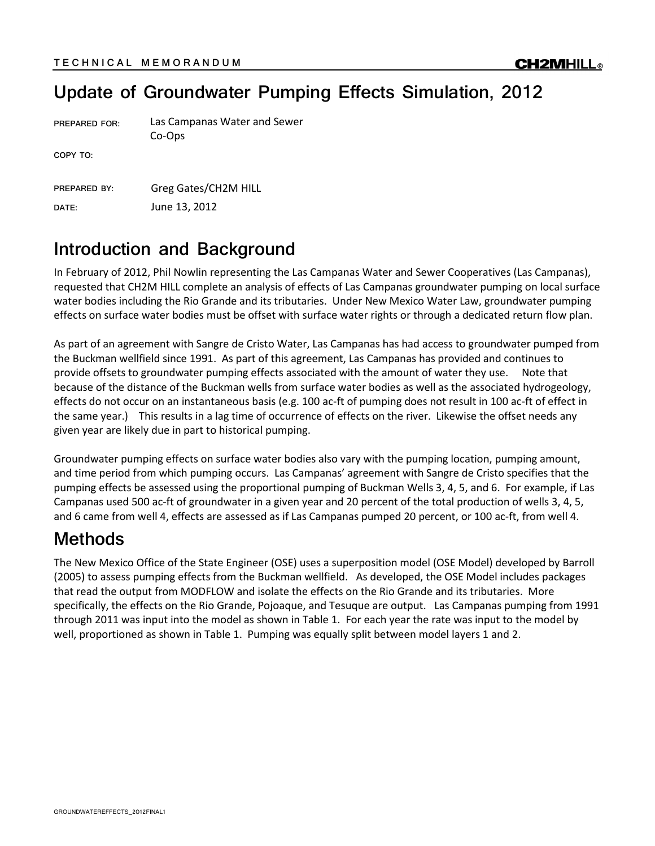# Update of Groundwater Pumping Effects Simulation, 2012

| <b>PREPARED FOR:</b>         | Las Campanas Water and Sewer<br>Co-Ops |
|------------------------------|----------------------------------------|
| COPY TO:                     |                                        |
| <b>PREPARED BY:</b><br>DATE: | Greg Gates/CH2M HILL<br>June 13, 2012  |
|                              |                                        |

#### Introduction and Background

In February of 2012, Phil Nowlin representing the Las Campanas Water and Sewer Cooperatives (Las Campanas), requested that CH2M HILL complete an analysis of effects of Las Campanas groundwater pumping on local surface water bodies including the Rio Grande and its tributaries. Under New Mexico Water Law, groundwater pumping effects on surface water bodies must be offset with surface water rights or through a dedicated return flow plan.

As part of an agreement with Sangre de Cristo Water, Las Campanas has had access to groundwater pumped from the Buckman wellfield since 1991. As part of this agreement, Las Campanas has provided and continues to provide offsets to groundwater pumping effects associated with the amount of water they use. Note that because of the distance of the Buckman wells from surface water bodies as well as the associated hydrogeology, effects do not occur on an instantaneous basis (e.g. 100 ac-ft of pumping does not result in 100 ac-ft of effect in the same year.) This results in a lag time of occurrence of effects on the river. Likewise the offset needs any given year are likely due in part to historical pumping.

Groundwater pumping effects on surface water bodies also vary with the pumping location, pumping amount, and time period from which pumping occurs. Las Campanas' agreement with Sangre de Cristo specifies that the pumping effects be assessed using the proportional pumping of Buckman Wells 3, 4, 5, and 6. For example, if Las Campanas used 500 ac-ft of groundwater in a given year and 20 percent of the total production of wells 3, 4, 5, and 6 came from well 4, effects are assessed as if Las Campanas pumped 20 percent, or 100 ac-ft, from well 4.

### Methods

The New Mexico Office of the State Engineer (OSE) uses a superposition model (OSE Model) developed by Barroll (2005) to assess pumping effects from the Buckman wellfield. As developed, the OSE Model includes packages that read the output from MODFLOW and isolate the effects on the Rio Grande and its tributaries. More specifically, the effects on the Rio Grande, Pojoaque, and Tesuque are output. Las Campanas pumping from 1991 through 2011 was input into the model as shown in Table 1. For each year the rate was input to the model by well, proportioned as shown in Table 1. Pumping was equally split between model layers 1 and 2.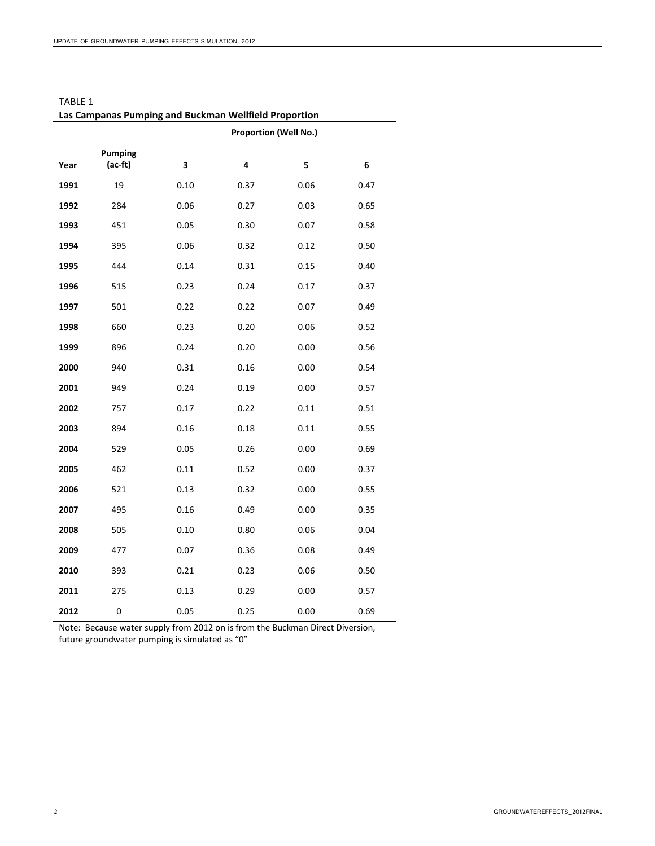|      | Las Campanas rumping and Duckman weimeid Froportion |      |                              |      |      |
|------|-----------------------------------------------------|------|------------------------------|------|------|
|      |                                                     |      | <b>Proportion (Well No.)</b> |      |      |
|      | <b>Pumping</b>                                      |      |                              |      |      |
| Year | (ac-ft)                                             | 3    | 4                            | 5    | 6    |
| 1991 | 19                                                  | 0.10 | 0.37                         | 0.06 | 0.47 |
| 1992 | 284                                                 | 0.06 | 0.27                         | 0.03 | 0.65 |
| 1993 | 451                                                 | 0.05 | 0.30                         | 0.07 | 0.58 |
| 1994 | 395                                                 | 0.06 | 0.32                         | 0.12 | 0.50 |
| 1995 | 444                                                 | 0.14 | 0.31                         | 0.15 | 0.40 |
| 1996 | 515                                                 | 0.23 | 0.24                         | 0.17 | 0.37 |
| 1997 | 501                                                 | 0.22 | 0.22                         | 0.07 | 0.49 |
| 1998 | 660                                                 | 0.23 | 0.20                         | 0.06 | 0.52 |
| 1999 | 896                                                 | 0.24 | 0.20                         | 0.00 | 0.56 |
| 2000 | 940                                                 | 0.31 | 0.16                         | 0.00 | 0.54 |
| 2001 | 949                                                 | 0.24 | 0.19                         | 0.00 | 0.57 |
| 2002 | 757                                                 | 0.17 | 0.22                         | 0.11 | 0.51 |
| 2003 | 894                                                 | 0.16 | 0.18                         | 0.11 | 0.55 |
| 2004 | 529                                                 | 0.05 | 0.26                         | 0.00 | 0.69 |
| 2005 | 462                                                 | 0.11 | 0.52                         | 0.00 | 0.37 |
| 2006 | 521                                                 | 0.13 | 0.32                         | 0.00 | 0.55 |
| 2007 | 495                                                 | 0.16 | 0.49                         | 0.00 | 0.35 |
| 2008 | 505                                                 | 0.10 | 0.80                         | 0.06 | 0.04 |
| 2009 | 477                                                 | 0.07 | 0.36                         | 0.08 | 0.49 |
| 2010 | 393                                                 | 0.21 | 0.23                         | 0.06 | 0.50 |
| 2011 | 275                                                 | 0.13 | 0.29                         | 0.00 | 0.57 |
| 2012 | $\pmb{0}$                                           | 0.05 | 0.25                         | 0.00 | 0.69 |

TABLE 1 Las Campanas Pumping and Buckman Wellfield Proportion

Note: Because water supply from 2012 on is from the Buckman Direct Diversion, future groundwater pumping is simulated as "0"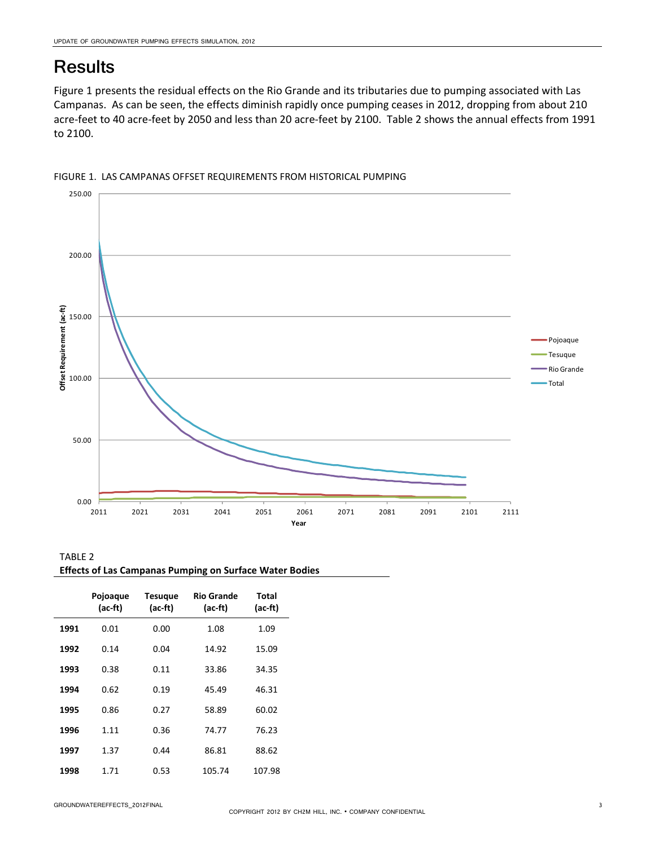### **Results**

Figure 1 presents the residual effects on the Rio Grande and its tributaries due to pumping associated with Las Campanas. As can be seen, the effects diminish rapidly once pumping ceases in 2012, dropping from about 210 acre-feet to 40 acre-feet by 2050 and less than 20 acre-feet by 2100. Table 2 shows the annual effects from 1991 to 2100.





| TABLE 2                                                        |  |
|----------------------------------------------------------------|--|
| <b>Effects of Las Campanas Pumping on Surface Water Bodies</b> |  |

|      | Pojoaque<br>(ac-ft) | <b>Tesugue</b><br>(ac-ft) | <b>Rio Grande</b><br>(ac-ft) | Total<br>(ac-ft) |
|------|---------------------|---------------------------|------------------------------|------------------|
| 1991 | 0.01                | 0.00                      | 1.08                         | 1.09             |
| 1992 | 0.14                | 0.04                      | 14.92                        | 15.09            |
| 1993 | 0.38                | 0.11                      | 33.86                        | 34.35            |
| 1994 | 0.62                | 0.19                      | 45.49                        | 46.31            |
| 1995 | 0.86                | 0.27                      | 58.89                        | 60.02            |
| 1996 | 1.11                | 0.36                      | 74.77                        | 76.23            |
| 1997 | 1.37                | 0.44                      | 86.81                        | 88.62            |
| 1998 | 1.71                | 0.53                      | 105.74                       | 107.98           |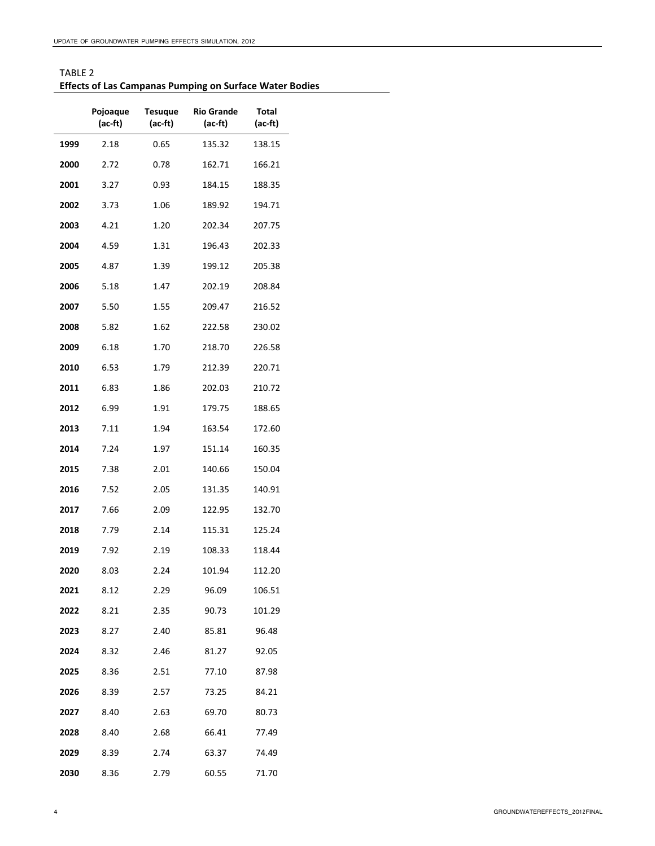| TABLE 2                                                        |
|----------------------------------------------------------------|
| <b>Effects of Las Campanas Pumping on Surface Water Bodies</b> |

|      | Pojoaque<br>(ac-ft) | Tesuque<br>(ac-ft) | Rio Grande<br>(ac-ft) | Total<br>(ac-ft) |
|------|---------------------|--------------------|-----------------------|------------------|
| 1999 | 2.18                | 0.65               | 135.32                | 138.15           |
| 2000 | 2.72                | 0.78               | 162.71                | 166.21           |
| 2001 | 3.27                | 0.93               | 184.15                | 188.35           |
| 2002 | 3.73                | 1.06               | 189.92                | 194.71           |
| 2003 | 4.21                | 1.20               | 202.34                | 207.75           |
| 2004 | 4.59                | 1.31               | 196.43                | 202.33           |
| 2005 | 4.87                | 1.39               | 199.12                | 205.38           |
| 2006 | 5.18                | 1.47               | 202.19                | 208.84           |
| 2007 | 5.50                | 1.55               | 209.47                | 216.52           |
| 2008 | 5.82                | 1.62               | 222.58                | 230.02           |
| 2009 | 6.18                | 1.70               | 218.70                | 226.58           |
| 2010 | 6.53                | 1.79               | 212.39                | 220.71           |
| 2011 | 6.83                | 1.86               | 202.03                | 210.72           |
| 2012 | 6.99                | 1.91               | 179.75                | 188.65           |
| 2013 | 7.11                | 1.94               | 163.54                | 172.60           |
| 2014 | 7.24                | 1.97               | 151.14                | 160.35           |
| 2015 | 7.38                | 2.01               | 140.66                | 150.04           |
| 2016 | 7.52                | 2.05               | 131.35                | 140.91           |
| 2017 | 7.66                | 2.09               | 122.95                | 132.70           |
| 2018 | 7.79                | 2.14               | 115.31                | 125.24           |
| 2019 | 7.92                | 2.19               | 108.33                | 118.44           |
| 2020 | 8.03                | 2.24               | 101.94                | 112.20           |
| 2021 | 8.12                | 2.29               | 96.09                 | 106.51           |
| 2022 | 8.21                | 2.35               | 90.73                 | 101.29           |
| 2023 | 8.27                | 2.40               | 85.81                 | 96.48            |
| 2024 | 8.32                | 2.46               | 81.27                 | 92.05            |
| 2025 | 8.36                | 2.51               | 77.10                 | 87.98            |
| 2026 | 8.39                | 2.57               | 73.25                 | 84.21            |
| 2027 | 8.40                | 2.63               | 69.70                 | 80.73            |
| 2028 | 8.40                | 2.68               | 66.41                 | 77.49            |
| 2029 | 8.39                | 2.74               | 63.37                 | 74.49            |
| 2030 | 8.36                | 2.79               | 60.55                 | 71.70            |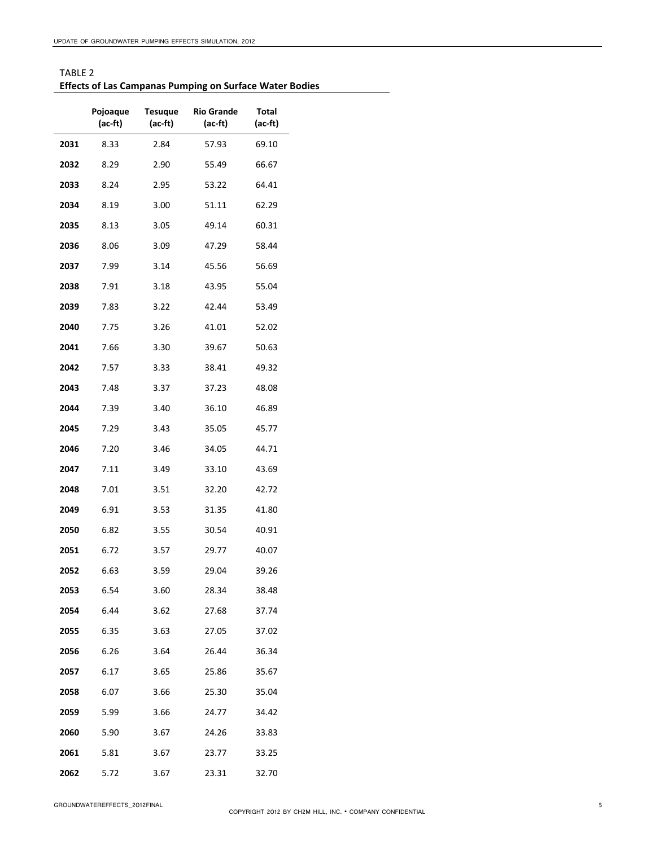| TABLE 2                                                        |
|----------------------------------------------------------------|
| <b>Effects of Las Campanas Pumping on Surface Water Bodies</b> |

|      | Pojoaque<br>(ac-ft) | Tesuque<br>(ac-ft) | <b>Rio Grande</b><br>$(ac-ft)$ | Total<br>(ac-ft) |
|------|---------------------|--------------------|--------------------------------|------------------|
| 2031 | 8.33                | 2.84               | 57.93                          | 69.10            |
| 2032 | 8.29                | 2.90               | 55.49                          | 66.67            |
| 2033 | 8.24                | 2.95               | 53.22                          | 64.41            |
| 2034 | 8.19                | 3.00               | 51.11                          | 62.29            |
| 2035 | 8.13                | 3.05               | 49.14                          | 60.31            |
| 2036 | 8.06                | 3.09               | 47.29                          | 58.44            |
| 2037 | 7.99                | 3.14               | 45.56                          | 56.69            |
| 2038 | 7.91                | 3.18               | 43.95                          | 55.04            |
| 2039 | 7.83                | 3.22               | 42.44                          | 53.49            |
| 2040 | 7.75                | 3.26               | 41.01                          | 52.02            |
| 2041 | 7.66                | 3.30               | 39.67                          | 50.63            |
| 2042 | 7.57                | 3.33               | 38.41                          | 49.32            |
| 2043 | 7.48                | 3.37               | 37.23                          | 48.08            |
| 2044 | 7.39                | 3.40               | 36.10                          | 46.89            |
| 2045 | 7.29                | 3.43               | 35.05                          | 45.77            |
| 2046 | 7.20                | 3.46               | 34.05                          | 44.71            |
| 2047 | 7.11                | 3.49               | 33.10                          | 43.69            |
| 2048 | 7.01                | 3.51               | 32.20                          | 42.72            |
| 2049 | 6.91                | 3.53               | 31.35                          | 41.80            |
| 2050 | 6.82                | 3.55               | 30.54                          | 40.91            |
| 2051 | 6.72                | 3.57               | 29.77                          | 40.07            |
| 2052 | 6.63                | 3.59               | 29.04                          | 39.26            |
| 2053 | 6.54                | 3.60               | 28.34                          | 38.48            |
| 2054 | 6.44                | 3.62               | 27.68                          | 37.74            |
| 2055 | 6.35                | 3.63               | 27.05                          | 37.02            |
| 2056 | 6.26                | 3.64               | 26.44                          | 36.34            |
| 2057 | 6.17                | 3.65               | 25.86                          | 35.67            |
| 2058 | 6.07                | 3.66               | 25.30                          | 35.04            |
| 2059 | 5.99                | 3.66               | 24.77                          | 34.42            |
| 2060 | 5.90                | 3.67               | 24.26                          | 33.83            |
| 2061 | 5.81                | 3.67               | 23.77                          | 33.25            |
| 2062 | 5.72                | 3.67               | 23.31                          | 32.70            |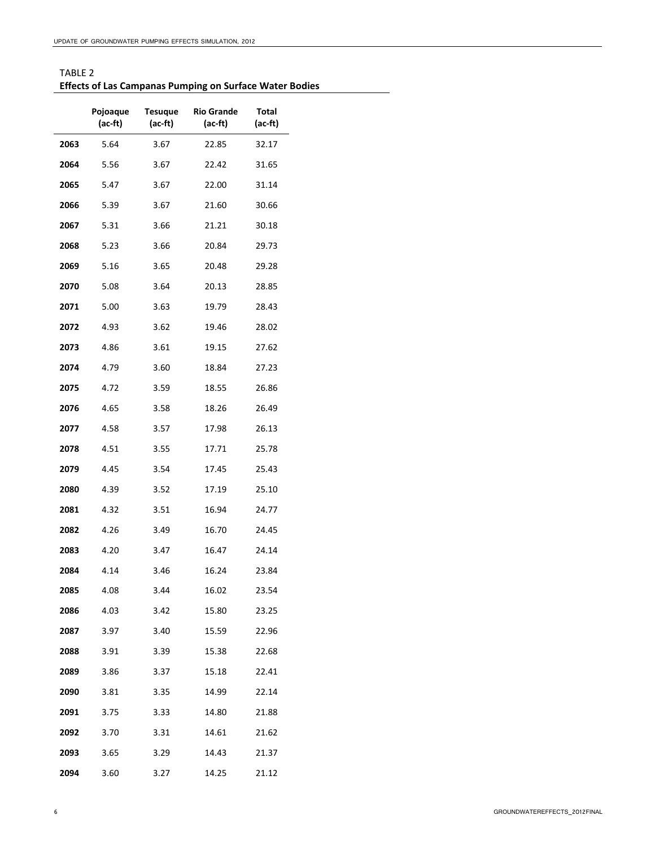| TABLE 2                                                        |
|----------------------------------------------------------------|
| <b>Effects of Las Campanas Pumping on Surface Water Bodies</b> |

|      | Pojoaque<br>(ac-ft) | Tesuque<br>(ac-ft) | <b>Rio Grande</b><br>(ac-ft) | Total<br>(ac-ft) |
|------|---------------------|--------------------|------------------------------|------------------|
| 2063 | 5.64                | 3.67               | 22.85                        | 32.17            |
| 2064 | 5.56                | 3.67               | 22.42                        | 31.65            |
| 2065 | 5.47                | 3.67               | 22.00                        | 31.14            |
| 2066 | 5.39                | 3.67               | 21.60                        | 30.66            |
| 2067 | 5.31                | 3.66               | 21.21                        | 30.18            |
| 2068 | 5.23                | 3.66               | 20.84                        | 29.73            |
| 2069 | 5.16                | 3.65               | 20.48                        | 29.28            |
| 2070 | 5.08                | 3.64               | 20.13                        | 28.85            |
| 2071 | 5.00                | 3.63               | 19.79                        | 28.43            |
| 2072 | 4.93                | 3.62               | 19.46                        | 28.02            |
| 2073 | 4.86                | 3.61               | 19.15                        | 27.62            |
| 2074 | 4.79                | 3.60               | 18.84                        | 27.23            |
| 2075 | 4.72                | 3.59               | 18.55                        | 26.86            |
| 2076 | 4.65                | 3.58               | 18.26                        | 26.49            |
| 2077 | 4.58                | 3.57               | 17.98                        | 26.13            |
| 2078 | 4.51                | 3.55               | 17.71                        | 25.78            |
| 2079 | 4.45                | 3.54               | 17.45                        | 25.43            |
| 2080 | 4.39                | 3.52               | 17.19                        | 25.10            |
| 2081 | 4.32                | 3.51               | 16.94                        | 24.77            |
| 2082 | 4.26                | 3.49               | 16.70                        | 24.45            |
| 2083 | 4.20                | 3.47               | 16.47                        | 24.14            |
| 2084 | 4.14                | 3.46               | 16.24                        | 23.84            |
| 2085 | 4.08                | 3.44               | 16.02                        | 23.54            |
| 2086 | 4.03                | 3.42               | 15.80                        | 23.25            |
| 2087 | 3.97                | 3.40               | 15.59                        | 22.96            |
| 2088 | 3.91                | 3.39               | 15.38                        | 22.68            |
| 2089 | 3.86                | 3.37               | 15.18                        | 22.41            |
| 2090 | 3.81                | 3.35               | 14.99                        | 22.14            |
| 2091 | 3.75                | 3.33               | 14.80                        | 21.88            |
| 2092 | 3.70                | 3.31               | 14.61                        | 21.62            |
| 2093 | 3.65                | 3.29               | 14.43                        | 21.37            |
| 2094 | 3.60                | 3.27               | 14.25                        | 21.12            |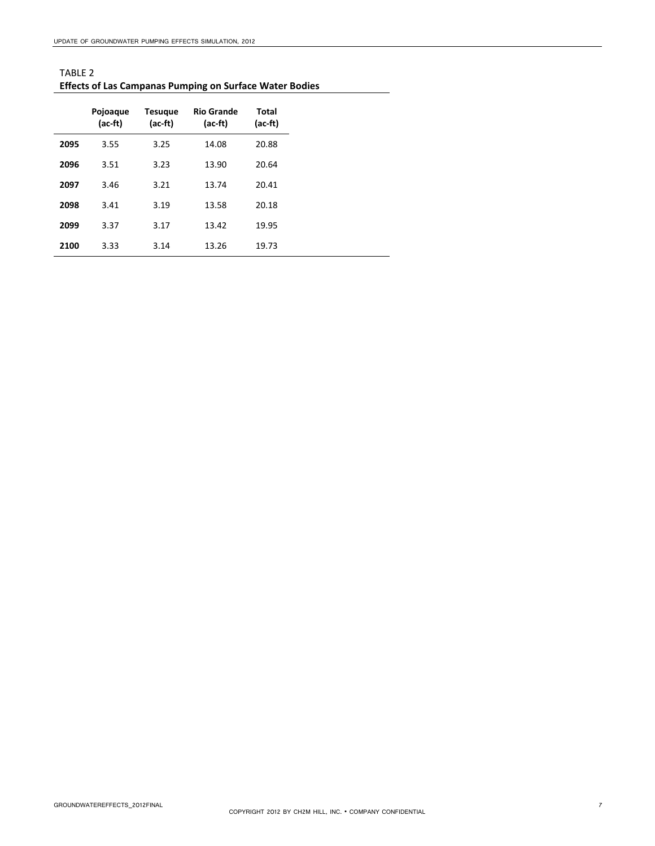| TABLE 2                                                        |
|----------------------------------------------------------------|
| <b>Effects of Las Campanas Pumping on Surface Water Bodies</b> |

|      | Pojoaque<br>(ac-ft) | <b>Tesuque</b><br>(ac-ft) | <b>Rio Grande</b><br>(ac-ft) | Total<br>(ac-ft) |
|------|---------------------|---------------------------|------------------------------|------------------|
| 2095 | 3.55                | 3.25                      | 14.08                        | 20.88            |
| 2096 | 3.51                | 3.23                      | 13.90                        | 20.64            |
| 2097 | 3.46                | 3.21                      | 13.74                        | 20.41            |
| 2098 | 3.41                | 3.19                      | 13.58                        | 20.18            |
| 2099 | 3.37                | 3.17                      | 13.42                        | 19.95            |
| 2100 | 3.33                | 3.14                      | 13.26                        | 19.73            |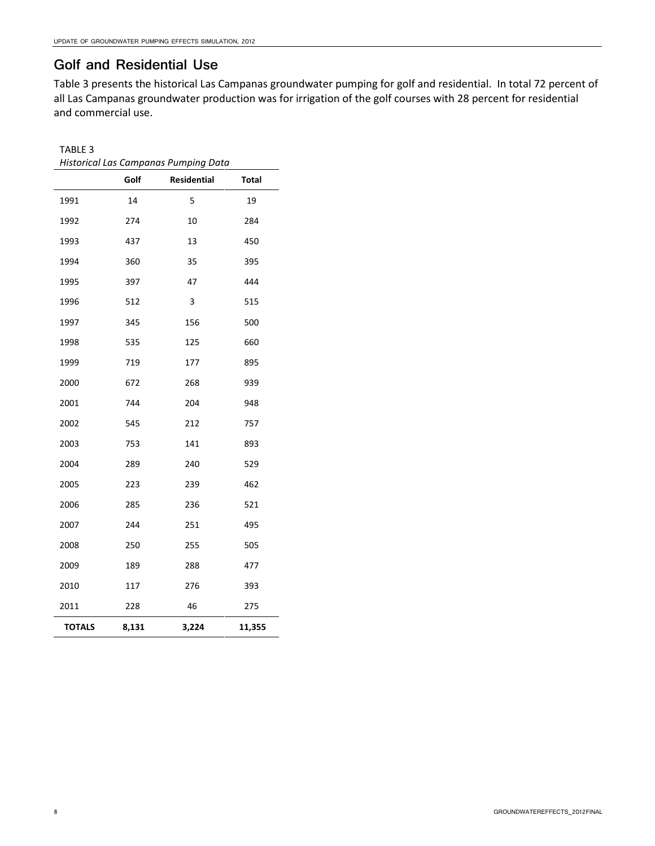#### Golf and Residential Use

Table 3 presents the historical Las Campanas groundwater pumping for golf and residential. In total 72 percent of all Las Campanas groundwater production was for irrigation of the golf courses with 28 percent for residential and commercial use.

#### TABLE 3

| Historical Las Campanas Pumping Data |       |             |        |
|--------------------------------------|-------|-------------|--------|
|                                      | Golf  | Residential | Total  |
| 1991                                 | 14    | 5           | 19     |
| 1992                                 | 274   | 10          | 284    |
| 1993                                 | 437   | 13          | 450    |
| 1994                                 | 360   | 35          | 395    |
| 1995                                 | 397   | 47          | 444    |
| 1996                                 | 512   | 3           | 515    |
| 1997                                 | 345   | 156         | 500    |
| 1998                                 | 535   | 125         | 660    |
| 1999                                 | 719   | 177         | 895    |
| 2000                                 | 672   | 268         | 939    |
| 2001                                 | 744   | 204         | 948    |
| 2002                                 | 545   | 212         | 757    |
| 2003                                 | 753   | 141         | 893    |
| 2004                                 | 289   | 240         | 529    |
| 2005                                 | 223   | 239         | 462    |
| 2006                                 | 285   | 236         | 521    |
| 2007                                 | 244   | 251         | 495    |
| 2008                                 | 250   | 255         | 505    |
| 2009                                 | 189   | 288         | 477    |
| 2010                                 | 117   | 276         | 393    |
| 2011                                 | 228   | 46          | 275    |
| <b>TOTALS</b>                        | 8,131 | 3,224       | 11,355 |